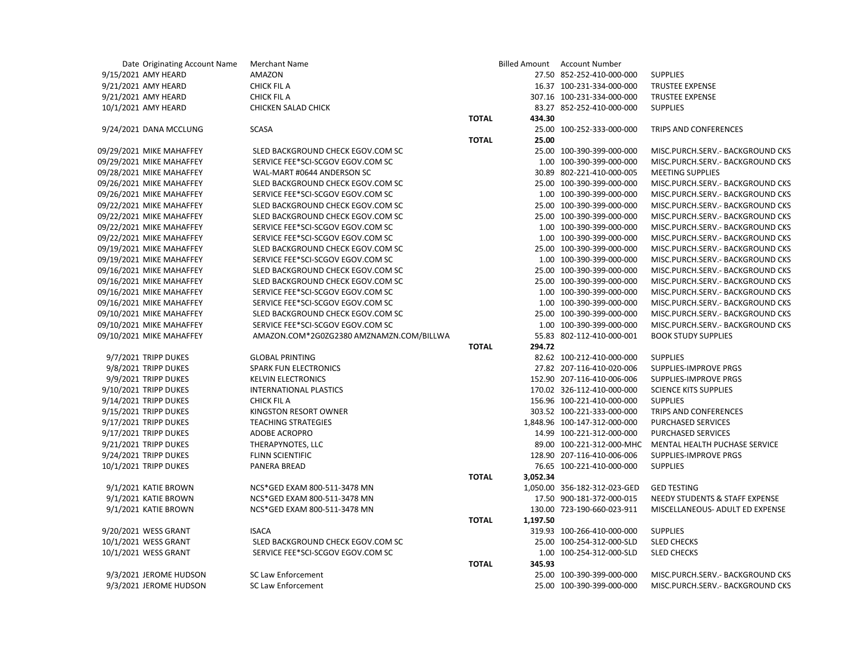| Date Originating Account Name | <b>Merchant Name</b>                     |              |          | <b>Billed Amount Account Number</b> |                                   |
|-------------------------------|------------------------------------------|--------------|----------|-------------------------------------|-----------------------------------|
| 9/15/2021 AMY HEARD           | AMAZON                                   |              |          | 27.50 852-252-410-000-000           | <b>SUPPLIES</b>                   |
| 9/21/2021 AMY HEARD           | <b>CHICK FIL A</b>                       |              |          | 16.37 100-231-334-000-000           | <b>TRUSTEE EXPENSE</b>            |
| 9/21/2021 AMY HEARD           | <b>CHICK FIL A</b>                       |              |          | 307.16 100-231-334-000-000          | TRUSTEE EXPENSE                   |
| 10/1/2021 AMY HEARD           | CHICKEN SALAD CHICK                      |              |          | 83.27 852-252-410-000-000           | <b>SUPPLIES</b>                   |
|                               |                                          | <b>TOTAL</b> | 434.30   |                                     |                                   |
| 9/24/2021 DANA MCCLUNG        | <b>SCASA</b>                             |              |          | 25.00 100-252-333-000-000           | TRIPS AND CONFERENCES             |
|                               |                                          | <b>TOTAL</b> | 25.00    |                                     |                                   |
| 09/29/2021 MIKE MAHAFFEY      | SLED BACKGROUND CHECK EGOV.COM SC        |              |          | 25.00 100-390-399-000-000           | MISC.PURCH.SERV.- BACKGROUND CKS  |
| 09/29/2021 MIKE MAHAFFEY      | SERVICE FEE*SCI-SCGOV EGOV.COM SC        |              |          | 1.00 100-390-399-000-000            | MISC.PURCH.SERV.- BACKGROUND CKS  |
| 09/28/2021 MIKE MAHAFFEY      | WAL-MART #0644 ANDERSON SC               |              |          | 30.89 802-221-410-000-005           | <b>MEETING SUPPLIES</b>           |
| 09/26/2021 MIKE MAHAFFEY      | SLED BACKGROUND CHECK EGOV.COM SC        |              |          | 25.00 100-390-399-000-000           | MISC.PURCH.SERV.- BACKGROUND CKS  |
| 09/26/2021 MIKE MAHAFFEY      | SERVICE FEE*SCI-SCGOV EGOV.COM SC        |              |          | 1.00 100-390-399-000-000            | MISC.PURCH.SERV.- BACKGROUND CKS  |
| 09/22/2021 MIKE MAHAFFEY      | SLED BACKGROUND CHECK EGOV.COM SC        |              |          | 25.00 100-390-399-000-000           | MISC.PURCH.SERV.- BACKGROUND CKS  |
| 09/22/2021 MIKE MAHAFFEY      | SLED BACKGROUND CHECK EGOV.COM SC        |              |          | 25.00 100-390-399-000-000           | MISC.PURCH.SERV. - BACKGROUND CKS |
| 09/22/2021 MIKE MAHAFFEY      | SERVICE FEE*SCI-SCGOV EGOV.COM SC        |              |          | 1.00 100-390-399-000-000            | MISC.PURCH.SERV.- BACKGROUND CKS  |
| 09/22/2021 MIKE MAHAFFEY      | SERVICE FEE*SCI-SCGOV EGOV.COM SC        |              |          | 1.00 100-390-399-000-000            | MISC.PURCH.SERV.- BACKGROUND CKS  |
| 09/19/2021 MIKE MAHAFFEY      | SLED BACKGROUND CHECK EGOV.COM SC        |              |          | 25.00 100-390-399-000-000           | MISC.PURCH.SERV.- BACKGROUND CKS  |
| 09/19/2021 MIKE MAHAFFEY      | SERVICE FEE*SCI-SCGOV EGOV.COM SC        |              |          | 1.00 100-390-399-000-000            | MISC.PURCH.SERV.- BACKGROUND CKS  |
| 09/16/2021 MIKE MAHAFFEY      | SLED BACKGROUND CHECK EGOV.COM SC        |              |          | 25.00 100-390-399-000-000           | MISC.PURCH.SERV.- BACKGROUND CKS  |
| 09/16/2021 MIKE MAHAFFEY      | SLED BACKGROUND CHECK EGOV.COM SC        |              |          | 25.00 100-390-399-000-000           | MISC.PURCH.SERV.- BACKGROUND CKS  |
| 09/16/2021 MIKE MAHAFFEY      | SERVICE FEE*SCI-SCGOV EGOV.COM SC        |              |          | 1.00 100-390-399-000-000            | MISC.PURCH.SERV.- BACKGROUND CKS  |
| 09/16/2021 MIKE MAHAFFEY      | SERVICE FEE*SCI-SCGOV EGOV.COM SC        |              |          | 1.00 100-390-399-000-000            | MISC.PURCH.SERV. - BACKGROUND CKS |
| 09/10/2021 MIKE MAHAFFEY      | SLED BACKGROUND CHECK EGOV.COM SC        |              |          | 25.00 100-390-399-000-000           | MISC.PURCH.SERV.- BACKGROUND CKS  |
| 09/10/2021 MIKE MAHAFFEY      | SERVICE FEE*SCI-SCGOV EGOV.COM SC        |              |          | 1.00 100-390-399-000-000            | MISC.PURCH.SERV.- BACKGROUND CKS  |
| 09/10/2021 MIKE MAHAFFEY      | AMAZON.COM*2G0ZG2380 AMZNAMZN.COM/BILLWA |              |          | 55.83 802-112-410-000-001           | <b>BOOK STUDY SUPPLIES</b>        |
|                               |                                          | <b>TOTAL</b> | 294.72   |                                     |                                   |
| 9/7/2021 TRIPP DUKES          | <b>GLOBAL PRINTING</b>                   |              |          | 82.62 100-212-410-000-000           | <b>SUPPLIES</b>                   |
| 9/8/2021 TRIPP DUKES          | SPARK FUN ELECTRONICS                    |              |          | 27.82 207-116-410-020-006           | SUPPLIES-IMPROVE PRGS             |
| 9/9/2021 TRIPP DUKES          | <b>KELVIN ELECTRONICS</b>                |              |          | 152.90 207-116-410-006-006          | SUPPLIES-IMPROVE PRGS             |
| 9/10/2021 TRIPP DUKES         | INTERNATIONAL PLASTICS                   |              |          | 170.02 326-112-410-000-000          | <b>SCIENCE KITS SUPPLIES</b>      |
| 9/14/2021 TRIPP DUKES         | <b>CHICK FIL A</b>                       |              |          | 156.96 100-221-410-000-000          | <b>SUPPLIES</b>                   |
| 9/15/2021 TRIPP DUKES         | KINGSTON RESORT OWNER                    |              |          | 303.52 100-221-333-000-000          | TRIPS AND CONFERENCES             |
| 9/17/2021 TRIPP DUKES         | <b>TEACHING STRATEGIES</b>               |              |          | 1,848.96 100-147-312-000-000        | PURCHASED SERVICES                |
| 9/17/2021 TRIPP DUKES         | <b>ADOBE ACROPRO</b>                     |              |          | 14.99 100-221-312-000-000           | PURCHASED SERVICES                |
| 9/21/2021 TRIPP DUKES         | THERAPYNOTES, LLC                        |              |          | 89.00 100-221-312-000-MHC           | MENTAL HEALTH PUCHASE SERVICE     |
| 9/24/2021 TRIPP DUKES         | <b>FLINN SCIENTIFIC</b>                  |              |          | 128.90 207-116-410-006-006          | SUPPLIES-IMPROVE PRGS             |
| 10/1/2021 TRIPP DUKES         | PANERA BREAD                             |              |          | 76.65 100-221-410-000-000           | <b>SUPPLIES</b>                   |
|                               |                                          | <b>TOTAL</b> | 3,052.34 |                                     |                                   |
| 9/1/2021 KATIE BROWN          | NCS*GED EXAM 800-511-3478 MN             |              |          | 1,050.00 356-182-312-023-GED        | <b>GED TESTING</b>                |
| 9/1/2021 KATIE BROWN          | NCS*GED EXAM 800-511-3478 MN             |              |          | 17.50 900-181-372-000-015           | NEEDY STUDENTS & STAFF EXPENSE    |
| 9/1/2021 KATIE BROWN          | NCS*GED EXAM 800-511-3478 MN             |              |          | 130.00 723-190-660-023-911          | MISCELLANEOUS- ADULT ED EXPENSE   |
|                               |                                          | <b>TOTAL</b> | 1,197.50 |                                     |                                   |
| 9/20/2021 WESS GRANT          | <b>ISACA</b>                             |              |          | 319.93 100-266-410-000-000          | <b>SUPPLIES</b>                   |
| 10/1/2021 WESS GRANT          | SLED BACKGROUND CHECK EGOV.COM SC        |              |          | 25.00 100-254-312-000-SLD           | <b>SLED CHECKS</b>                |
| 10/1/2021 WESS GRANT          | SERVICE FEE*SCI-SCGOV EGOV.COM SC        |              |          | 1.00 100-254-312-000-SLD            | <b>SLED CHECKS</b>                |
|                               |                                          | <b>TOTAL</b> | 345.93   |                                     |                                   |
| 9/3/2021 JEROME HUDSON        | <b>SC Law Enforcement</b>                |              |          | 25.00 100-390-399-000-000           | MISC.PURCH.SERV.- BACKGROUND CKS  |
| 9/3/2021 JEROME HUDSON        | <b>SC Law Enforcement</b>                |              |          | 25.00 100-390-399-000-000           | MISC.PURCH.SERV.- BACKGROUND CKS  |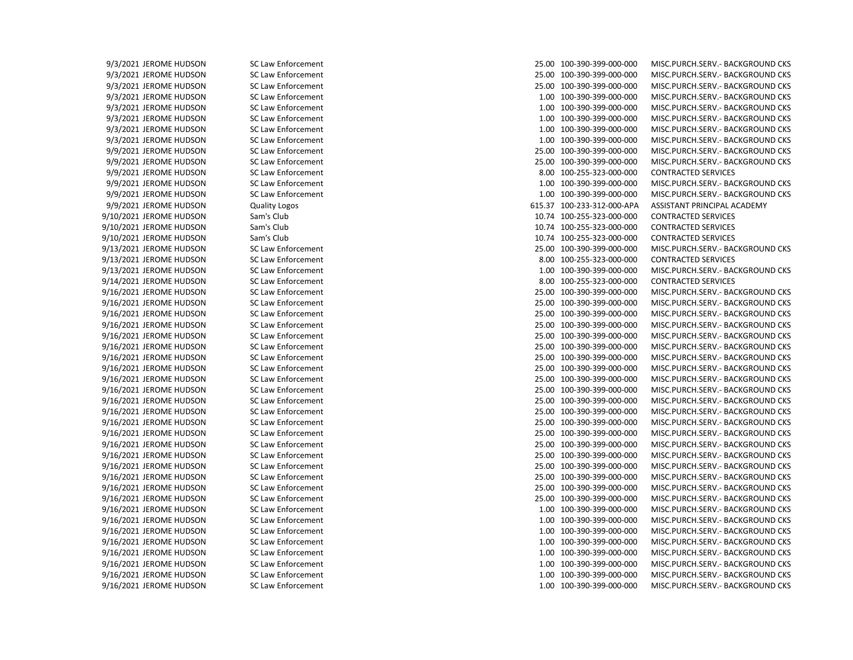9/3/2021 JEROME HUDSON SC Law Enforcement 25.00 100-390-399-000-000 MISC.PURCH.SERV.- BACKGROUND CKS 9/3/2021 JEROME HUDSON SC Law Enforcement 25.00 100-390-399-000-000 MISC.PURCH.SERV.- BACKGROUND CKS 9/3/2021 JEROME HUDSON SC Law Enforcement 25.00 100-390-399-000-000 MISC.PURCH.SERV.- BACKGROUND CKS 9/3/2021 JEROME HUDSON SC Law Enforcement 1.00 100-390-399-000-000 MISC.PURCH.SERV.- BACKGROUND CKS 9/3/2021 JEROME HUDSON SC Law Enforcement 1.00 100-390-399-000-000 MISC.PURCH.SERV.- BACKGROUND CKS 9/3/2021 JEROME HUDSON SC Law Enforcement 1.00 100-390-399-000-000 MISC.PURCH.SERV.- BACKGROUND CKS 9/3/2021 JEROME HUDSON SC Law Enforcement 1.00 100-390-399-000-000 MISC.PURCH.SERV.- BACKGROUND CKS 9/3/2021 JEROME HUDSON SC Law Enforcement 1.00 100-390-399-000-000 MISC.PURCH.SERV.- BACKGROUND CKS 9/9/2021 JEROME HUDSON SC Law Enforcement 25.00 100-390-399-000-000 MISC.PURCH.SERV.- BACKGROUND CKS 9/9/2021 JEROME HUDSON SC Law Enforcement 25.00 100-390-399-000-000 MISC.PURCH.SERV.- BACKGROUND CKS 9/9/2021 JEROME HUDSON SC Law Enforcement 8.00 100-255-323-000-000 CONTRACTED SERVICES 9/9/2021 JEROME HUDSON SC Law Enforcement 1.00 100-390-399-000-000 MISC.PURCH.SERV.- BACKGROUND CKS 9/9/2021 JEROME HUDSON SC Law Enforcement 1.00 100-390-399-000-000 MISC.PURCH.SERV.- BACKGROUND CKS 9/9/2021 JEROME HUDSON Quality Logos 615.37 100-233-312-000-APA ASSISTANT PRINCIPAL ACADEMY 9/10/2021 JEROME HUDSON Sam's Club 10.74 100-255-323-000-000 CONTRACTED SERVICES 9/10/2021 JEROME HUDSON Sam's Club 10.74 100-255-323-000-000 CONTRACTED SERVICES 9/10/2021 JEROME HUDSON Sam's Club 10.74 100-255-323-000-000 CONTRACTED SERVICES 9/13/2021 JEROME HUDSON SC Law Enforcement 25.00 100-390-399-000-000 MISC.PURCH.SERV.- BACKGROUND CKS 9/13/2021 JEROME HUDSON SC Law Enforcement 8.00 100-255-323-000-000 CONTRACTED SERVICES 9/13/2021 JEROME HUDSON SC Law Enforcement 1.00 100-390-399-000-000 MISC.PURCH.SERV.- BACKGROUND CKS 9/14/2021 JEROME HUDSON SC Law Enforcement 8.00 100-255-323-000-000 CONTRACTED SERVICES 9/16/2021 JEROME HUDSON SC Law Enforcement 25.00 100-390-399-000-000 MISC.PURCH.SERV.- BACKGROUND CKS 9/16/2021 JEROME HUDSON SC Law Enforcement 25.00 100-390-399-000-000 MISC.PURCH.SERV.- BACKGROUND CKS 9/16/2021 JEROME HUDSON SC Law Enforcement 25.00 100-390-399-000-000 MISC.PURCH.SERV.- BACKGROUND CKS 9/16/2021 JEROME HUDSON SC Law Enforcement 25.00 100-390-399-000-000 MISC.PURCH.SERV.- BACKGROUND CKS 9/16/2021 JEROME HUDSON SC Law Enforcement 25.00 100-390-399-000-000 MISC.PURCH.SERV.- BACKGROUND CKS 9/16/2021 JEROME HUDSON SC Law Enforcement 25.00 100-390-399-000-000 MISC.PURCH.SERV.- BACKGROUND CKS 9/16/2021 JEROME HUDSON SC Law Enforcement 25.00 100-390-399-000-000 MISC.PURCH.SERV.- BACKGROUND CKS 9/16/2021 JEROME HUDSON SC Law Enforcement 25.00 100-390-399-000-000 MISC.PURCH.SERV.- BACKGROUND CKS 9/16/2021 JEROME HUDSON SC Law Enforcement 25.00 100-390-399-000-000 MISC.PURCH.SERV.- BACKGROUND CKS 9/16/2021 JEROME HUDSON SC Law Enforcement 25.00 100-390-399-000-000 MISC.PURCH.SERV.- BACKGROUND CKS 9/16/2021 JEROME HUDSON SC Law Enforcement 25.00 100-390-399-000-000 MISC.PURCH.SERV.- BACKGROUND CKS 9/16/2021 JEROME HUDSON SC Law Enforcement 25.00 100-390-399-000-000 MISC.PURCH.SERV.- BACKGROUND CKS 9/16/2021 JEROME HUDSON SC Law Enforcement 25.00 100-390-399-000-000 MISC.PURCH.SERV.- BACKGROUND CKS 9/16/2021 JEROME HUDSON SC Law Enforcement 25.00 100-390-399-000-000 MISC.PURCH.SERV.- BACKGROUND CKS 9/16/2021 JEROME HUDSON SC Law Enforcement 25.00 100-390-399-000-000 MISC.PURCH.SERV.- BACKGROUND CKS 9/16/2021 JEROME HUDSON SC Law Enforcement 25.00 100-390-399-000-000 MISC.PURCH.SERV.- BACKGROUND CKS 9/16/2021 JEROME HUDSON SC Law Enforcement 25.00 100-390-399-000-000 MISC.PURCH.SERV.- BACKGROUND CKS 9/16/2021 JEROME HUDSON SC Law Enforcement 25.00 100-390-399-000-000 MISC.PURCH.SERV.- BACKGROUND CKS 9/16/2021 JEROME HUDSON SC Law Enforcement 25.00 100-390-399-000-000 MISC.PURCH.SERV.- BACKGROUND CKS 9/16/2021 JEROME HUDSON SC Law Enforcement 25.00 100-390-399-000-000 MISC.PURCH.SERV.- BACKGROUND CKS 9/16/2021 JEROME HUDSON SC Law Enforcement 1.00 100-390-399-000-000 MISC.PURCH.SERV.- BACKGROUND CKS 9/16/2021 JEROME HUDSON SC Law Enforcement 1.00 100-390-399-000-000 MISC.PURCH.SERV.- BACKGROUND CKS 9/16/2021 JEROME HUDSON SC Law Enforcement 1.00 100-390-399-000-000 MISC.PURCH.SERV.- BACKGROUND CKS 9/16/2021 JEROME HUDSON SC Law Enforcement 1.00 100-390-399-000-000 MISC.PURCH.SERV.- BACKGROUND CKS 9/16/2021 JEROME HUDSON SC Law Enforcement 1.00 100-390-399-000-000 MISC.PURCH.SERV.- BACKGROUND CKS 9/16/2021 JEROME HUDSON SC Law Enforcement 1.00 100-390-399-000-000 MISC.PURCH.SERV.- BACKGROUND CKS 9/16/2021 JEROME HUDSON SC Law Enforcement 1.00 100-390-399-000-000 MISC.PURCH.SERV.- BACKGROUND CKS 9/16/2021 JEROME HUDSON SC Law Enforcement 1.00 100-390-399-000-000 MISC.PURCH.SERV.- BACKGROUND CKS